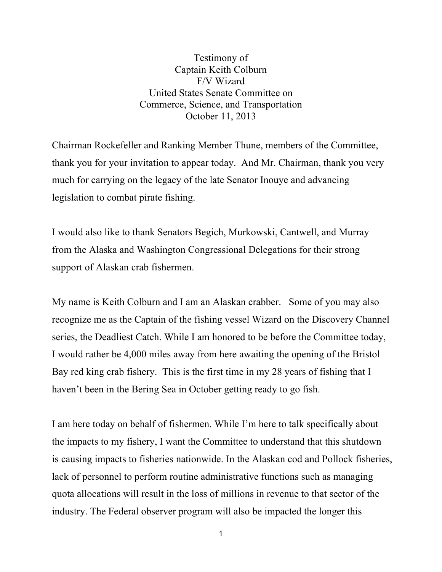Testimony of Captain Keith Colburn F/V Wizard United States Senate Committee on Commerce, Science, and Transportation October 11, 2013

Chairman Rockefeller and Ranking Member Thune, members of the Committee, thank you for your invitation to appear today. And Mr. Chairman, thank you very much for carrying on the legacy of the late Senator Inouye and advancing legislation to combat pirate fishing.

I would also like to thank Senators Begich, Murkowski, Cantwell, and Murray from the Alaska and Washington Congressional Delegations for their strong support of Alaskan crab fishermen.

My name is Keith Colburn and I am an Alaskan crabber. Some of you may also recognize me as the Captain of the fishing vessel Wizard on the Discovery Channel series, the Deadliest Catch. While I am honored to be before the Committee today, I would rather be 4,000 miles away from here awaiting the opening of the Bristol Bay red king crab fishery. This is the first time in my 28 years of fishing that I haven't been in the Bering Sea in October getting ready to go fish.

I am here today on behalf of fishermen. While I'm here to talk specifically about the impacts to my fishery, I want the Committee to understand that this shutdown is causing impacts to fisheries nationwide. In the Alaskan cod and Pollock fisheries, lack of personnel to perform routine administrative functions such as managing quota allocations will result in the loss of millions in revenue to that sector of the industry. The Federal observer program will also be impacted the longer this

1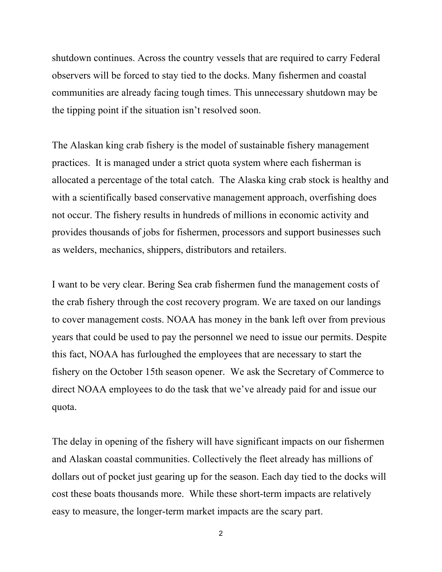shutdown continues. Across the country vessels that are required to carry Federal observers will be forced to stay tied to the docks. Many fishermen and coastal communities are already facing tough times. This unnecessary shutdown may be the tipping point if the situation isn't resolved soon.

The Alaskan king crab fishery is the model of sustainable fishery management practices. It is managed under a strict quota system where each fisherman is allocated a percentage of the total catch. The Alaska king crab stock is healthy and with a scientifically based conservative management approach, overfishing does not occur. The fishery results in hundreds of millions in economic activity and provides thousands of jobs for fishermen, processors and support businesses such as welders, mechanics, shippers, distributors and retailers.

I want to be very clear. Bering Sea crab fishermen fund the management costs of the crab fishery through the cost recovery program. We are taxed on our landings to cover management costs. NOAA has money in the bank left over from previous years that could be used to pay the personnel we need to issue our permits. Despite this fact, NOAA has furloughed the employees that are necessary to start the fishery on the October 15th season opener. We ask the Secretary of Commerce to direct NOAA employees to do the task that we've already paid for and issue our quota.

The delay in opening of the fishery will have significant impacts on our fishermen and Alaskan coastal communities. Collectively the fleet already has millions of dollars out of pocket just gearing up for the season. Each day tied to the docks will cost these boats thousands more. While these short-term impacts are relatively easy to measure, the longer-term market impacts are the scary part.

2